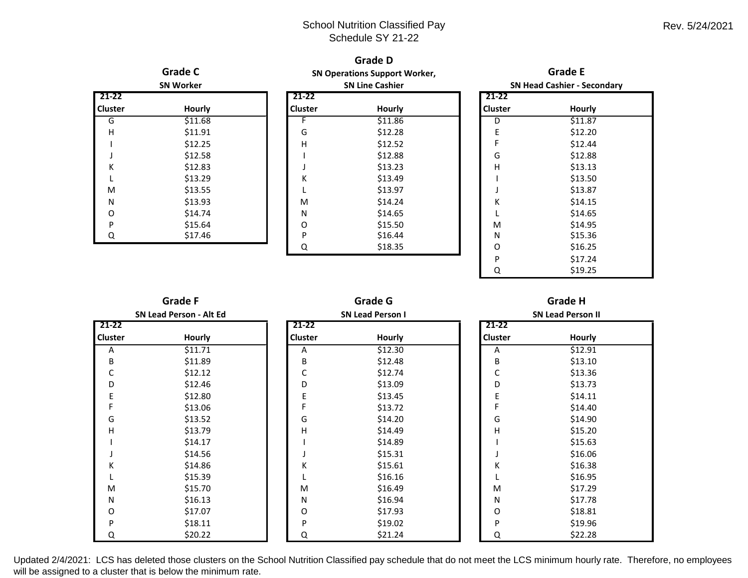|                                             |         |                                                                         | <b>Grade D</b> |                                             |         |  |
|---------------------------------------------|---------|-------------------------------------------------------------------------|----------------|---------------------------------------------|---------|--|
| <b>Grade C</b><br><b>SN Worker</b><br>21-22 |         | <b>SN Operations Support Worker,</b><br><b>SN Line Cashier</b><br>21-22 |                | <b>Grade E</b>                              |         |  |
|                                             |         |                                                                         |                | <b>SN Head Cashier - Secondary</b><br>21-22 |         |  |
|                                             |         |                                                                         |                |                                             |         |  |
| G                                           | \$11.68 | F                                                                       | \$11.86        | D                                           | \$11.87 |  |
| Н                                           | \$11.91 | G                                                                       | \$12.28        | E                                           | \$12.20 |  |
|                                             | \$12.25 | Η                                                                       | \$12.52        |                                             | \$12.44 |  |
|                                             | \$12.58 |                                                                         | \$12.88        | G                                           | \$12.88 |  |
| Κ                                           | \$12.83 |                                                                         | \$13.23        | Н                                           | \$13.13 |  |
|                                             | \$13.29 | Κ                                                                       | \$13.49        |                                             | \$13.50 |  |
| M                                           | \$13.55 |                                                                         | \$13.97        |                                             | \$13.87 |  |
| N                                           | \$13.93 | M                                                                       | \$14.24        | Κ                                           | \$14.15 |  |
| O                                           | \$14.74 | N                                                                       | \$14.65        |                                             | \$14.65 |  |
| P                                           | \$15.64 | O                                                                       | \$15.50        | M                                           | \$14.95 |  |
| Q                                           | \$17.46 | P                                                                       | \$16.44        | N                                           | \$15.36 |  |
|                                             |         | Q                                                                       | \$18.35        | O                                           | \$16.25 |  |
|                                             |         |                                                                         |                | P                                           | \$17.24 |  |
|                                             |         |                                                                         |                | Q                                           | \$19.25 |  |

| <b>Grade F</b>          |               |           | <b>Grade G</b>          |         | <b>Grade H</b>           |  |  |
|-------------------------|---------------|-----------|-------------------------|---------|--------------------------|--|--|
| SN Lead Person - Alt Ed |               |           | <b>SN Lead Person I</b> |         | <b>SN Lead Person II</b> |  |  |
| 21-22                   |               | $21 - 22$ |                         | 21-22   |                          |  |  |
| <b>Cluster</b>          | <b>Hourly</b> | Cluster   | Hourly                  | Cluster | <b>Hourly</b>            |  |  |
| Α                       | \$11.71       | Α         | \$12.30                 | Α       | \$12.91                  |  |  |
| B                       | \$11.89       | B         | \$12.48                 | B       | \$13.10                  |  |  |
| С                       | \$12.12       | С         | \$12.74                 | С       | \$13.36                  |  |  |
| D                       | \$12.46       | D         | \$13.09                 | D       | \$13.73                  |  |  |
| Ε                       | \$12.80       | E         | \$13.45                 |         | \$14.11                  |  |  |
|                         | \$13.06       |           | \$13.72                 |         | \$14.40                  |  |  |
| G                       | \$13.52       | G         | \$14.20                 | G       | \$14.90                  |  |  |
| н                       | \$13.79       | Н         | \$14.49                 | Н       | \$15.20                  |  |  |
|                         | \$14.17       |           | \$14.89                 |         | \$15.63                  |  |  |
|                         | \$14.56       |           | \$15.31                 |         | \$16.06                  |  |  |
| Κ                       | \$14.86       | Κ         | \$15.61                 | К       | \$16.38                  |  |  |
|                         | \$15.39       |           | \$16.16                 |         | \$16.95                  |  |  |
| M                       | \$15.70       | M         | \$16.49                 | M       | \$17.29                  |  |  |
| N                       | \$16.13       | N         | \$16.94                 | Ν       | \$17.78                  |  |  |
| O                       | \$17.07       | O         | \$17.93                 | O       | \$18.81                  |  |  |
| P                       | \$18.11       | P         | \$19.02                 | P       | \$19.96                  |  |  |
| Q                       | \$20.22       | Q         | \$21.24                 | Q       | \$22.28                  |  |  |

Updated 2/4/2021: LCS has deleted those clusters on the School Nutrition Classified pay schedule that do not meet the LCS minimum hourly rate. Therefore, no employees will be assigned to a cluster that is below the minimum rate.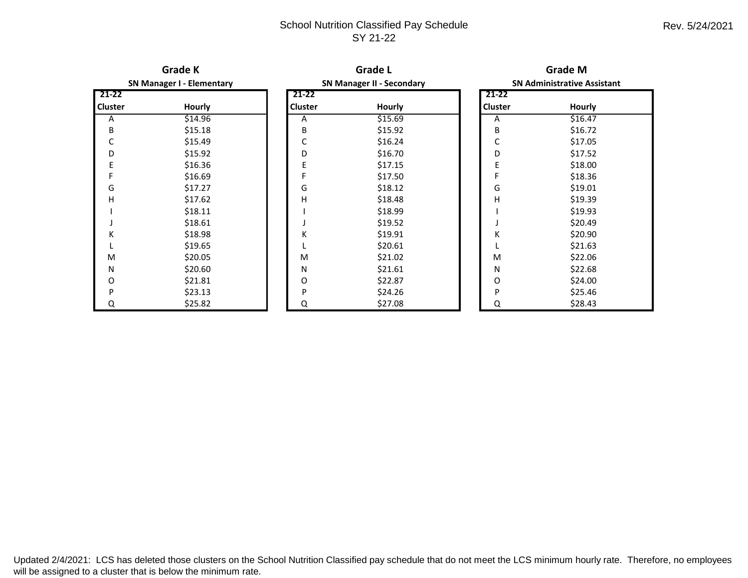## School Nutrition Classified Pay Schedule SY 21-22

| <b>Grade K</b>                   |               |                | <b>Grade L</b>                   |         | <b>Grade M</b>                     |  |  |
|----------------------------------|---------------|----------------|----------------------------------|---------|------------------------------------|--|--|
| <b>SN Manager I - Elementary</b> |               |                | <b>SN Manager II - Secondary</b> |         | <b>SN Administrative Assistant</b> |  |  |
| 21-22                            |               | 21-22          |                                  | 21-22   |                                    |  |  |
| Cluster                          | <b>Hourly</b> | <b>Cluster</b> | Hourly                           | Cluster | Hourly                             |  |  |
| Α                                | \$14.96       | Α              | \$15.69                          | Α       | \$16.47                            |  |  |
| B                                | \$15.18       | B              | \$15.92                          | B       | \$16.72                            |  |  |
| C                                | \$15.49       | С              | \$16.24                          | С       | \$17.05                            |  |  |
| D                                | \$15.92       | D              | \$16.70                          | D       | \$17.52                            |  |  |
| Ε                                | \$16.36       | E              | \$17.15                          | Е       | \$18.00                            |  |  |
| F                                | \$16.69       | F              | \$17.50                          |         | \$18.36                            |  |  |
| G                                | \$17.27       | G              | \$18.12                          | G       | \$19.01                            |  |  |
| н                                | \$17.62       | Η              | \$18.48                          | н       | \$19.39                            |  |  |
|                                  | \$18.11       |                | \$18.99                          |         | \$19.93                            |  |  |
|                                  | \$18.61       |                | \$19.52                          |         | \$20.49                            |  |  |
| К                                | \$18.98       | К              | \$19.91                          | Κ       | \$20.90                            |  |  |
|                                  | \$19.65       |                | \$20.61                          |         | \$21.63                            |  |  |
| M                                | \$20.05       | M              | \$21.02                          | M       | \$22.06                            |  |  |
| N                                | \$20.60       | Ν              | \$21.61                          | N       | \$22.68                            |  |  |
| O                                | \$21.81       | O              | \$22.87                          | O       | \$24.00                            |  |  |
| P                                | \$23.13       | P              | \$24.26                          | P       | \$25.46                            |  |  |
| Q                                | \$25.82       | Q              | \$27.08                          | Q       | \$28.43                            |  |  |

Updated 2/4/2021: LCS has deleted those clusters on the School Nutrition Classified pay schedule that do not meet the LCS minimum hourly rate. Therefore, no employees will be assigned to a cluster that is below the minimum rate.